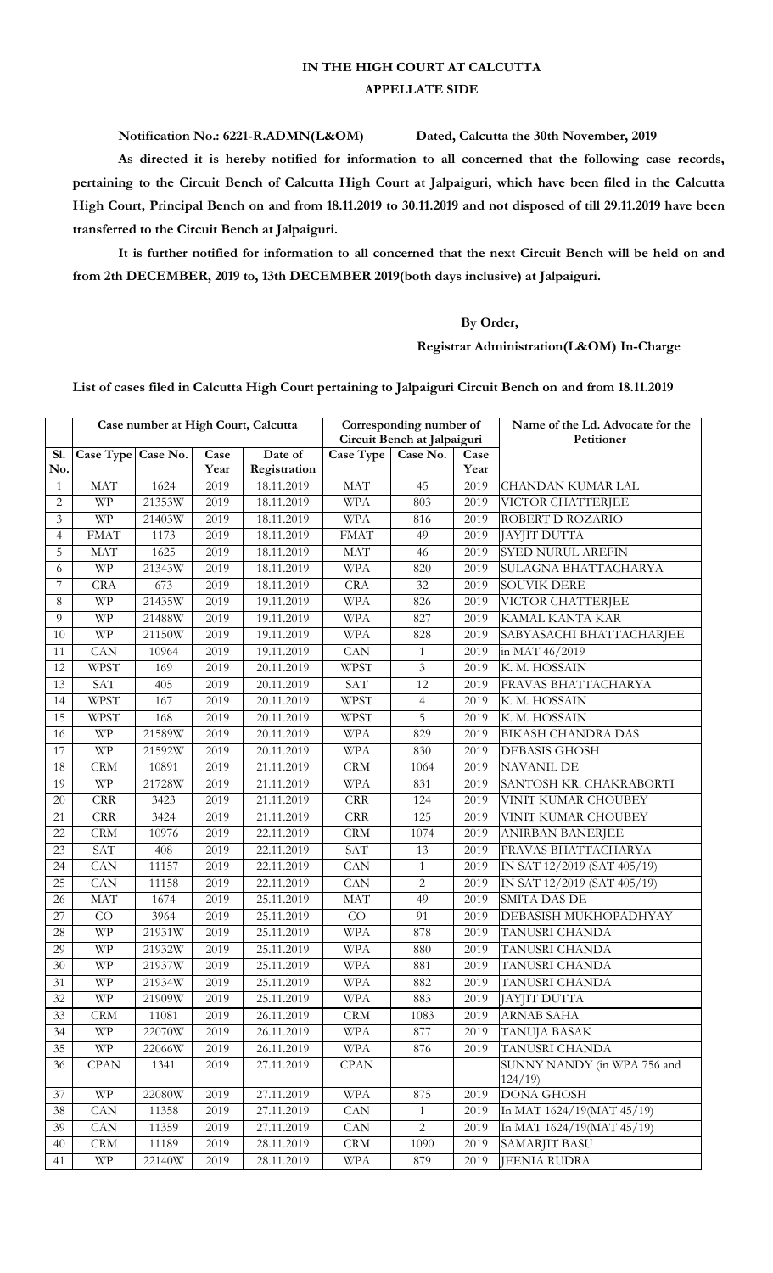## **IN THE HIGH COURT AT CALCUTTA APPELLATE SIDE**

**Notification No.: 6221-R.ADMN(L&OM) Dated, Calcutta the 30th November, 2019**

**As directed it is hereby notified for information to all concerned that the following case records, pertaining to the Circuit Bench of Calcutta High Court at Jalpaiguri, which have been filed in the Calcutta High Court, Principal Bench on and from 18.11.2019 to 30.11.2019 and not disposed of till 29.11.2019 have been transferred to the Circuit Bench at Jalpaiguri.**

**It is further notified for information to all concerned that the next Circuit Bench will be held on and from 2th DECEMBER, 2019 to, 13th DECEMBER 2019(both days inclusive) at Jalpaiguri.**

## **By Order,**

## **Registrar Administration(L&OM) In-Charge**

**List of cases filed in Calcutta High Court pertaining to Jalpaiguri Circuit Bench on and from 18.11.2019**

|                 |                             | Case number at High Court, Calcutta |      |              | Corresponding number of     |                |      | Name of the Ld. Advocate for the      |
|-----------------|-----------------------------|-------------------------------------|------|--------------|-----------------------------|----------------|------|---------------------------------------|
|                 |                             |                                     |      |              | Circuit Bench at Jalpaiguri |                |      | Petitioner                            |
| Sl.             | Case Type Case No.          |                                     | Case | Date of      | Case Type                   | Case No.       | Case |                                       |
| No.             |                             |                                     | Year | Registration |                             |                | Year |                                       |
| $\mathbf{1}$    | <b>MAT</b>                  | $\overline{1}$ 624                  | 2019 | 18.11.2019   | <b>MAT</b>                  | 45             | 2019 | <b>CHANDAN KUMAR LAL</b>              |
| $\mathbf{2}$    | <b>WP</b>                   | 21353W                              | 2019 | 18.11.2019   | <b>WPA</b>                  | 803            | 2019 | VICTOR CHATTERJEE                     |
| 3               | <b>WP</b>                   | 21403W                              | 2019 | 18.11.2019   | <b>WPA</b>                  | 816            | 2019 | ROBERT D ROZARIO                      |
| $\overline{4}$  | <b>FMAT</b>                 | 1173                                | 2019 | 18.11.2019   | <b>FMAT</b>                 | 49             | 2019 | JAYJIT DUTTA                          |
| 5               | $\ensuremath{\mathsf{MAT}}$ | 1625                                | 2019 | 18.11.2019   | <b>MAT</b>                  | 46             | 2019 | SYED NURUL AREFIN                     |
| 6               | $\ensuremath{\text{WP}}$    | 21343W                              | 2019 | 18.11.2019   | <b>WPA</b>                  | 820            | 2019 | SULAGNA BHATTACHARYA                  |
| 7               | <b>CRA</b>                  | 673                                 | 2019 | 18.11.2019   | <b>CRA</b>                  | 32             | 2019 | <b>SOUVIK DERE</b>                    |
| $\,8\,$         | <b>WP</b>                   | 21435W                              | 2019 | 19.11.2019   | <b>WPA</b>                  | 826            | 2019 | VICTOR CHATTERJEE                     |
| 9               | <b>WP</b>                   | 21488W                              | 2019 | 19.11.2019   | <b>WPA</b>                  | 827            | 2019 | KAMAL KANTA KAR                       |
| 10              | <b>WP</b>                   | 21150W                              | 2019 | 19.11.2019   | <b>WPA</b>                  | 828            | 2019 | SABYASACHI BHATTACHARJEE              |
| 11              | <b>CAN</b>                  | 10964                               | 2019 | 19.11.2019   | <b>CAN</b>                  | $\mathbf{1}$   | 2019 | in MAT 46/2019                        |
| 12              | <b>WPST</b>                 | 169                                 | 2019 | 20.11.2019   | <b>WPST</b>                 | $\mathfrak{Z}$ | 2019 | K. M. HOSSAIN                         |
| 13              | SAT                         | 405                                 | 2019 | 20.11.2019   | SAT                         | 12             | 2019 | PRAVAS BHATTACHARYA                   |
| 14              | <b>WPST</b>                 | 167                                 | 2019 | 20.11.2019   | <b>WPST</b>                 | $\overline{4}$ | 2019 | K. M. HOSSAIN                         |
| 15              | <b>WPST</b>                 | 168                                 | 2019 | 20.11.2019   | <b>WPST</b>                 | 5              | 2019 | K. M. HOSSAIN                         |
| 16              | $\ensuremath{\text{WP}}$    | 21589W                              | 2019 | 20.11.2019   | <b>WPA</b>                  | 829            | 2019 | <b>BIKASH CHANDRA DAS</b>             |
| 17              | <b>WP</b>                   | 21592W                              | 2019 | 20.11.2019   | <b>WPA</b>                  | 830            | 2019 | <b>DEBASIS GHOSH</b>                  |
| 18              | CRM                         | 10891                               | 2019 | 21.11.2019   | <b>CRM</b>                  | 1064           | 2019 | <b>NAVANIL DE</b>                     |
| 19              | <b>WP</b>                   | 21728W                              | 2019 | 21.11.2019   | <b>WPA</b>                  | 831            | 2019 | SANTOSH KR. CHAKRABORTI               |
| 20              | $\rm{CRR}$                  | 3423                                | 2019 | 21.11.2019   | CRR                         | 124            | 2019 | VINIT KUMAR CHOUBEY                   |
| 21              | CRR                         | 3424                                | 2019 | 21.11.2019   | CRR                         | 125            | 2019 | VINIT KUMAR CHOUBEY                   |
| 22              | CRM                         | 10976                               | 2019 | 22.11.2019   | <b>CRM</b>                  | 1074           | 2019 | <b>ANIRBAN BANERJEE</b>               |
| 23              | SAT                         | 408                                 | 2019 | 22.11.2019   | SAT                         | 13             | 2019 | PRAVAS BHATTACHARYA                   |
| 24              | CAN                         | 11157                               | 2019 | 22.11.2019   | CAN                         | $\mathbf{1}$   | 2019 | IN SAT 12/2019 (SAT 405/19)           |
| $\overline{25}$ | CAN                         | 11158                               | 2019 | 22.11.2019   | CAN                         | $\overline{2}$ | 2019 | IN SAT 12/2019 (SAT 405/19)           |
| 26              | <b>MAT</b>                  | 1674                                | 2019 | 25.11.2019   | <b>MAT</b>                  | 49             | 2019 | <b>SMITA DAS DE</b>                   |
| 27              | CO                          | 3964                                | 2019 | 25.11.2019   | CO                          | 91             | 2019 | DEBASISH MUKHOPADHYAY                 |
| 28              | <b>WP</b>                   | 21931W                              | 2019 | 25.11.2019   | <b>WPA</b>                  | 878            | 2019 | TANUSRI CHANDA                        |
| 29              | <b>WP</b>                   | 21932W                              | 2019 | 25.11.2019   | <b>WPA</b>                  | 880            | 2019 | TANUSRI CHANDA                        |
| 30              | <b>WP</b>                   | 21937W                              | 2019 | 25.11.2019   | <b>WPA</b>                  | 881            | 2019 | TANUSRI CHANDA                        |
| $\overline{31}$ | $\ensuremath{\mathsf{WP}}$  | 21934W                              | 2019 | 25.11.2019   | $\operatorname{WPA}$        | 882            | 2019 | TANUSRI CHANDA                        |
| 32              | <b>WP</b>                   | 21909W                              | 2019 | 25.11.2019   | <b>WPA</b>                  | 883            | 2019 | JAYJIT DUTTA                          |
| 33              | CRM                         | 11081                               | 2019 | 26.11.2019   | <b>CRM</b>                  | 1083           | 2019 | <b>ARNAB SAHA</b>                     |
| 34              | <b>WP</b>                   | 22070W                              | 2019 | 26.11.2019   | <b>WPA</b>                  | 877            | 2019 | <b>TANUJA BASAK</b>                   |
| 35              | <b>WP</b>                   | 22066W                              | 2019 | 26.11.2019   | <b>WPA</b>                  | 876            | 2019 | TANUSRI CHANDA                        |
| 36              | CPAN                        | 1341                                | 2019 | 27.11.2019   | <b>CPAN</b>                 |                |      | SUNNY NANDY (in WPA 756 and<br>124/19 |
| 37              | <b>WP</b>                   | 22080W                              | 2019 | 27.11.2019   | <b>WPA</b>                  | 875            | 2019 | <b>DONA GHOSH</b>                     |
| 38              | CAN                         | 11358                               | 2019 | 27.11.2019   | CAN                         | $\mathbf{1}$   | 2019 | In MAT 1624/19(MAT 45/19)             |
| 39              | CAN                         | 11359                               | 2019 | 27.11.2019   | ${\rm CAN}$                 | $\overline{c}$ | 2019 | In MAT 1624/19(MAT 45/19)             |
| 40              | $\mathop{\rm CRM}\nolimits$ | 11189                               | 2019 | 28.11.2019   | CRM                         | 1090           | 2019 | SAMARJIT BASU                         |
| 41              | <b>WP</b>                   | 22140W                              | 2019 | 28.11.2019   | <b>WPA</b>                  | 879            | 2019 | JEENIA RUDRA                          |